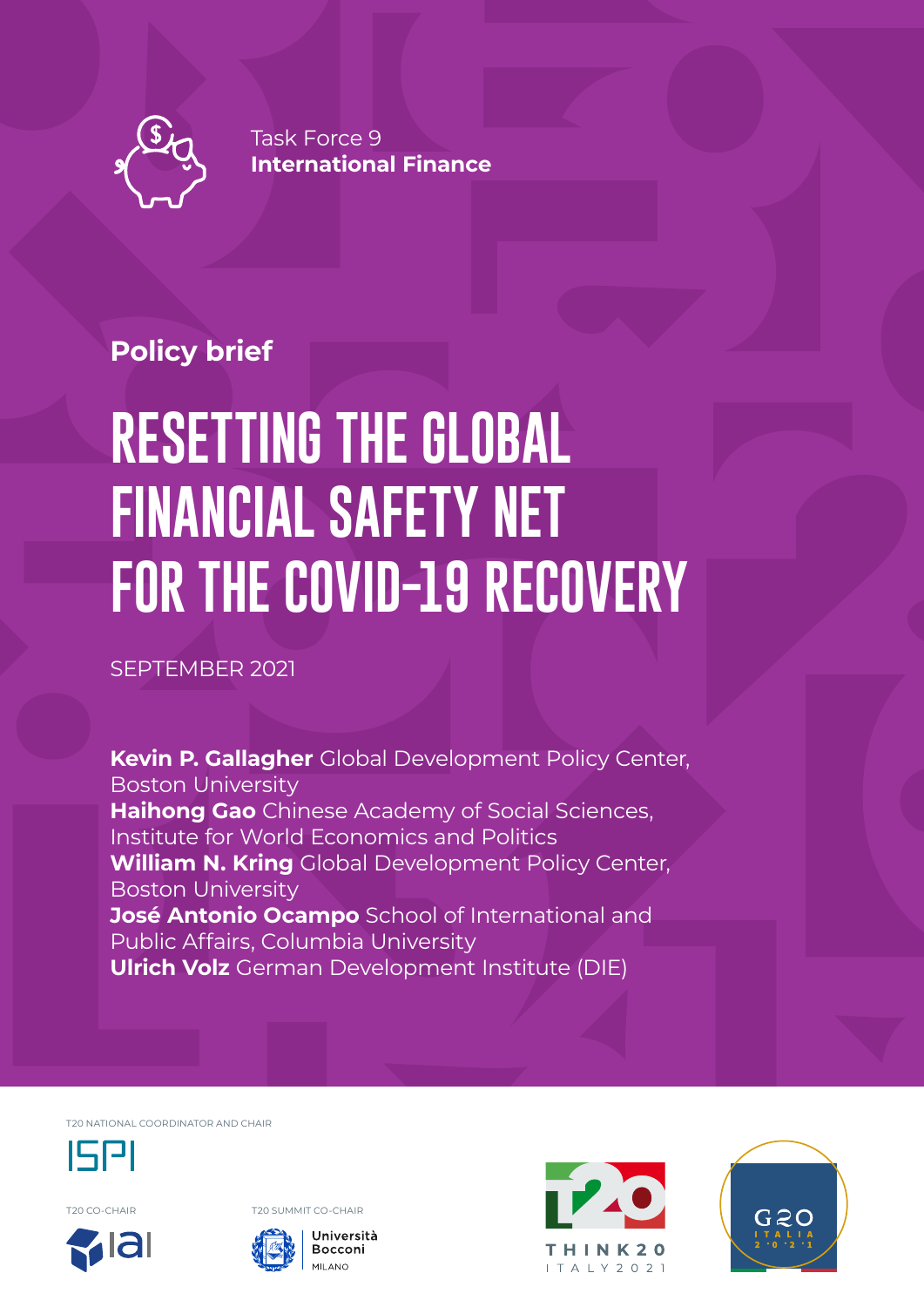

Task Force 9 **International Finance**

## **Policy brief**

# **RESETTING THE GLOBAL FINANCIAL SAFETY NET FOR THE COVID-19 RECOVERY**

SEPTEMBER 2021

**Kevin P. Gallagher** Global Development Policy Center, Boston University **Haihong Gao** Chinese Academy of Social Sciences, Institute for World Economics and Politics **William N. Kring** Global Development Policy Center, Boston University **José Antonio Ocampo** School of International and Public Affairs, Columbia University **Ulrich Volz** German Development Institute (DIE)

T20 NATIONAL COORDINATOR AND CHAIR



T20 CO-CHAIR T20 SUMMIT CO-CHAIR







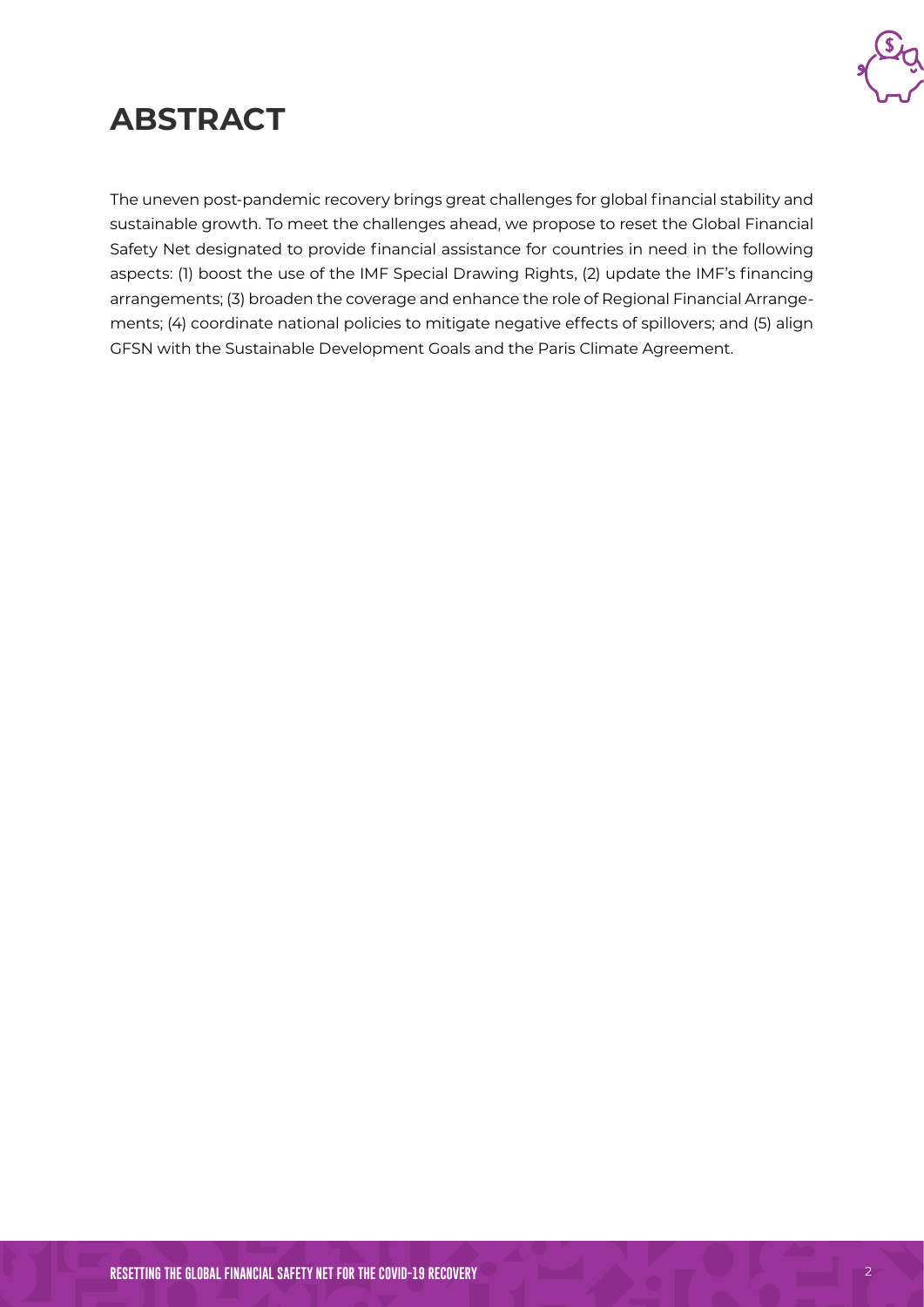

# **ABSTRACT**

The uneven post-pandemic recovery brings great challenges for global financial stability and sustainable growth. To meet the challenges ahead, we propose to reset the Global Financial Safety Net designated to provide financial assistance for countries in need in the following aspects: (1) boost the use of the IMF Special Drawing Rights, (2) update the IMF's financing arrangements; (3) broaden the coverage and enhance the role of Regional Financial Arrangements; (4) coordinate national policies to mitigate negative effects of spillovers; and (5) align GFSN with the Sustainable Development Goals and the Paris Climate Agreement.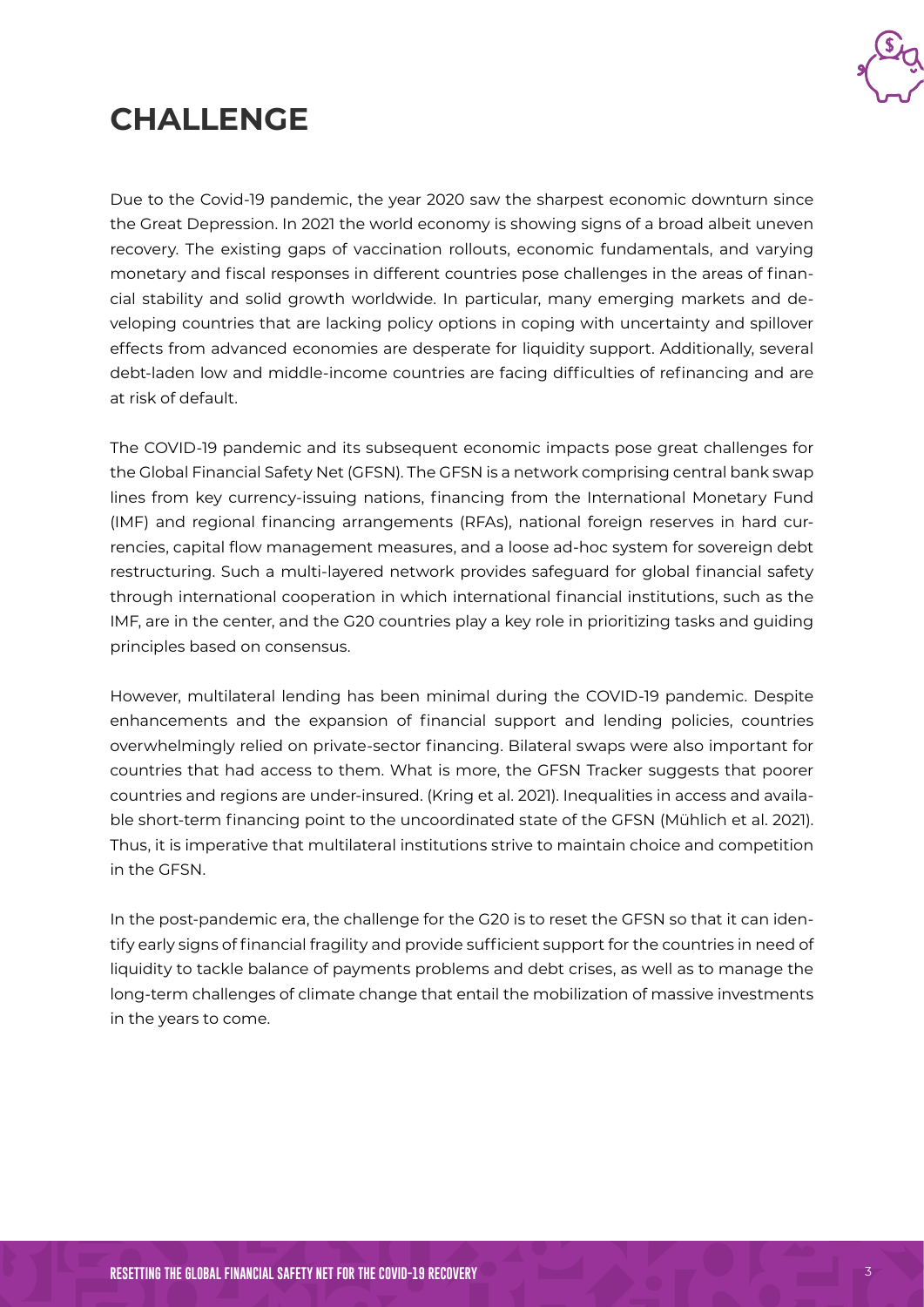

# **CHALLENGE**

Due to the Covid-19 pandemic, the year 2020 saw the sharpest economic downturn since the Great Depression. In 2021 the world economy is showing signs of a broad albeit uneven recovery. The existing gaps of vaccination rollouts, economic fundamentals, and varying monetary and fiscal responses in different countries pose challenges in the areas of financial stability and solid growth worldwide. In particular, many emerging markets and developing countries that are lacking policy options in coping with uncertainty and spillover effects from advanced economies are desperate for liquidity support. Additionally, several debt-laden low and middle-income countries are facing difficulties of refinancing and are at risk of default.

The COVID-19 pandemic and its subsequent economic impacts pose great challenges for the Global Financial Safety Net (GFSN). The GFSN is a network comprising central bank swap lines from key currency-issuing nations, financing from the International Monetary Fund (IMF) and regional financing arrangements (RFAs), national foreign reserves in hard currencies, capital flow management measures, and a loose ad-hoc system for sovereign debt restructuring. Such a multi-layered network provides safeguard for global financial safety through international cooperation in which international financial institutions, such as the IMF, are in the center, and the G20 countries play a key role in prioritizing tasks and guiding principles based on consensus.

However, multilateral lending has been minimal during the COVID-19 pandemic. Despite enhancements and the expansion of financial support and lending policies, countries overwhelmingly relied on private-sector financing. Bilateral swaps were also important for countries that had access to them. What is more, the GFSN Tracker suggests that poorer countries and regions are under-insured. (Kring et al. 2021). Inequalities in access and available short-term financing point to the uncoordinated state of the GFSN (Mühlich et al. 2021). Thus, it is imperative that multilateral institutions strive to maintain choice and competition in the GFSN.

In the post-pandemic era, the challenge for the G20 is to reset the GFSN so that it can identify early signs of financial fragility and provide sufficient support for the countries in need of liquidity to tackle balance of payments problems and debt crises, as well as to manage the long-term challenges of climate change that entail the mobilization of massive investments in the years to come.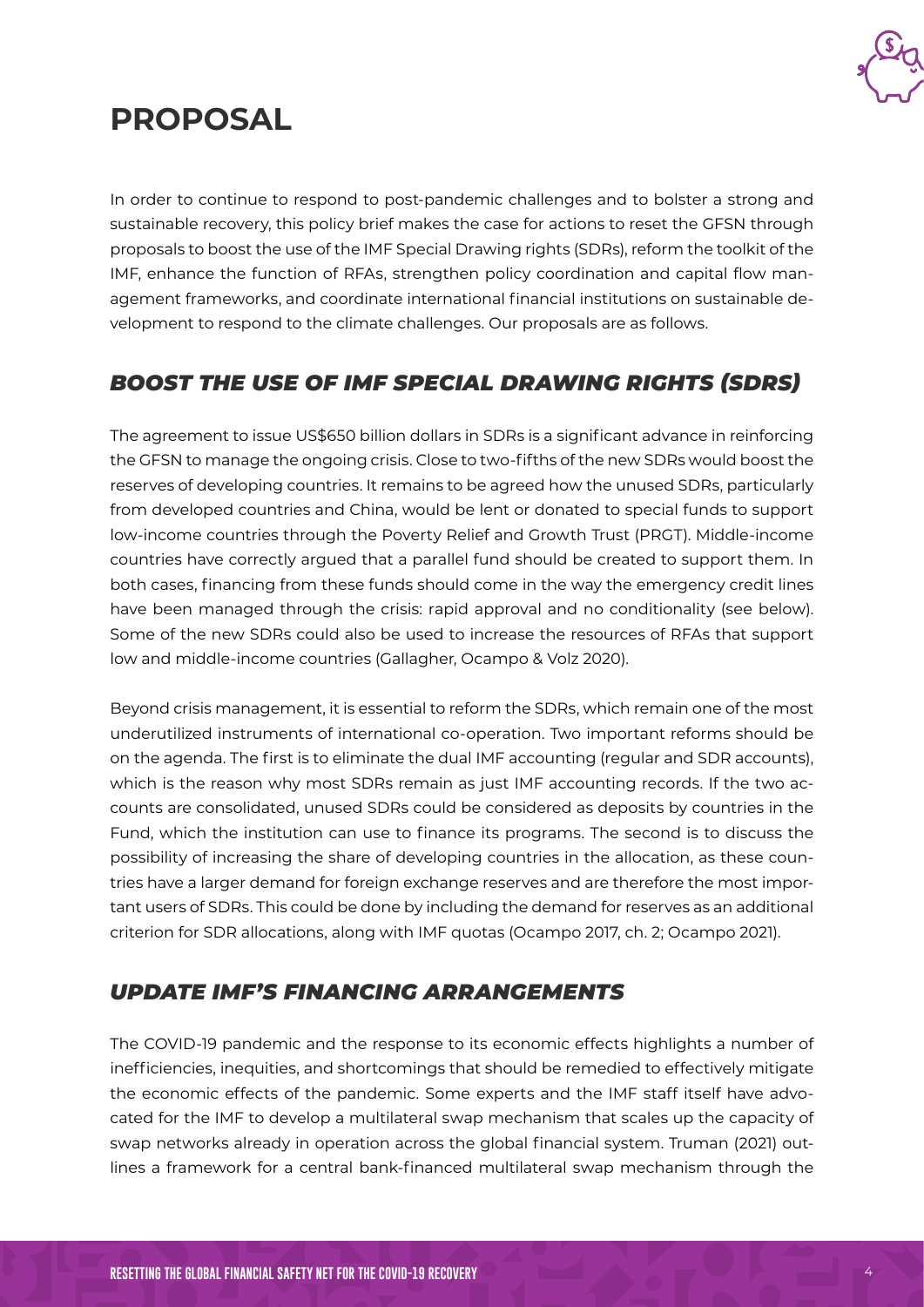

# **PROPOSAL**

In order to continue to respond to post-pandemic challenges and to bolster a strong and sustainable recovery, this policy brief makes the case for actions to reset the GFSN through proposals to boost the use of the IMF Special Drawing rights (SDRs), reform the toolkit of the IMF, enhance the function of RFAs, strengthen policy coordination and capital flow management frameworks, and coordinate international financial institutions on sustainable development to respond to the climate challenges. Our proposals are as follows.

#### *BOOST THE USE OF IMF SPECIAL DRAWING RIGHTS (SDRS)*

The agreement to issue US\$650 billion dollars in SDRs is a significant advance in reinforcing the GFSN to manage the ongoing crisis. Close to two-fifths of the new SDRs would boost the reserves of developing countries. It remains to be agreed how the unused SDRs, particularly from developed countries and China, would be lent or donated to special funds to support low-income countries through the Poverty Relief and Growth Trust (PRGT). Middle-income countries have correctly argued that a parallel fund should be created to support them. In both cases, financing from these funds should come in the way the emergency credit lines have been managed through the crisis: rapid approval and no conditionality (see below). Some of the new SDRs could also be used to increase the resources of RFAs that support low and middle-income countries (Gallagher, Ocampo & Volz 2020).

Beyond crisis management, it is essential to reform the SDRs, which remain one of the most underutilized instruments of international co-operation. Two important reforms should be on the agenda. The first is to eliminate the dual IMF accounting (regular and SDR accounts), which is the reason why most SDRs remain as just IMF accounting records. If the two accounts are consolidated, unused SDRs could be considered as deposits by countries in the Fund, which the institution can use to finance its programs. The second is to discuss the possibility of increasing the share of developing countries in the allocation, as these countries have a larger demand for foreign exchange reserves and are therefore the most important users of SDRs. This could be done by including the demand for reserves as an additional criterion for SDR allocations, along with IMF quotas (Ocampo 2017, ch. 2; Ocampo 2021).

#### *UPDATE IMF'S FINANCING ARRANGEMENTS*

The COVID-19 pandemic and the response to its economic effects highlights a number of inefficiencies, inequities, and shortcomings that should be remedied to effectively mitigate the economic effects of the pandemic. Some experts and the IMF staff itself have advocated for the IMF to develop a multilateral swap mechanism that scales up the capacity of swap networks already in operation across the global financial system. Truman (2021) outlines a framework for a central bank-financed multilateral swap mechanism through the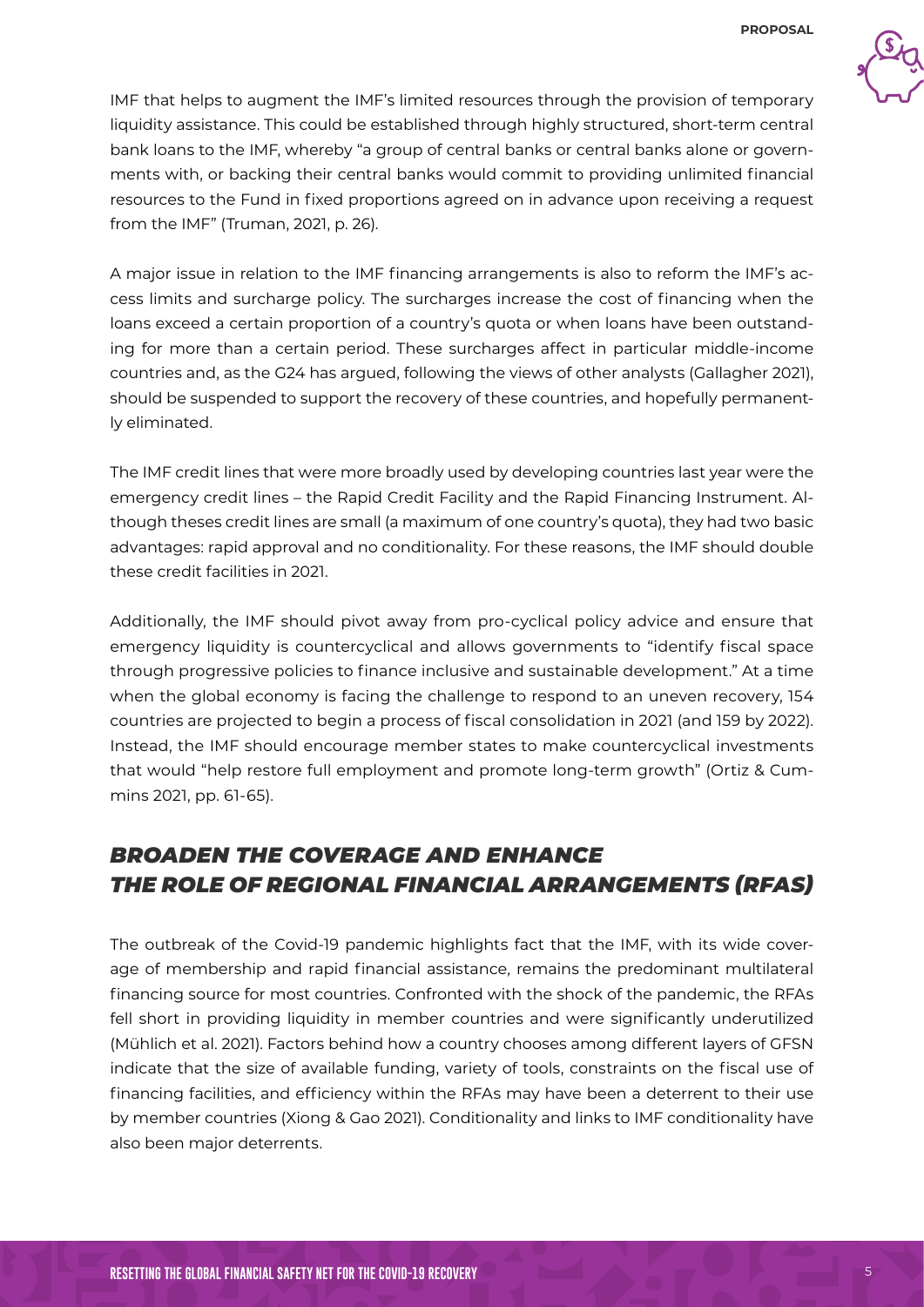

IMF that helps to augment the IMF's limited resources through the provision of temporary liquidity assistance. This could be established through highly structured, short-term central bank loans to the IMF, whereby "a group of central banks or central banks alone or governments with, or backing their central banks would commit to providing unlimited financial resources to the Fund in fixed proportions agreed on in advance upon receiving a request from the IMF" (Truman, 2021, p. 26).

A major issue in relation to the IMF financing arrangements is also to reform the IMF's access limits and surcharge policy. The surcharges increase the cost of financing when the loans exceed a certain proportion of a country's quota or when loans have been outstanding for more than a certain period. These surcharges affect in particular middle-income countries and, as the G24 has argued, following the views of other analysts (Gallagher 2021), should be suspended to support the recovery of these countries, and hopefully permanently eliminated.

The IMF credit lines that were more broadly used by developing countries last year were the emergency credit lines – the Rapid Credit Facility and the Rapid Financing Instrument. Although theses credit lines are small (a maximum of one country's quota), they had two basic advantages: rapid approval and no conditionality. For these reasons, the IMF should double these credit facilities in 2021.

Additionally, the IMF should pivot away from pro-cyclical policy advice and ensure that emergency liquidity is countercyclical and allows governments to "identify fiscal space through progressive policies to finance inclusive and sustainable development." At a time when the global economy is facing the challenge to respond to an uneven recovery, 154 countries are projected to begin a process of fiscal consolidation in 2021 (and 159 by 2022). Instead, the IMF should encourage member states to make countercyclical investments that would "help restore full employment and promote long-term growth" (Ortiz & Cummins 2021, pp. 61-65).

### *BROADEN THE COVERAGE AND ENHANCE THE ROLE OF REGIONAL FINANCIAL ARRANGEMENTS (RFAS)*

The outbreak of the Covid-19 pandemic highlights fact that the IMF, with its wide coverage of membership and rapid financial assistance, remains the predominant multilateral financing source for most countries. Confronted with the shock of the pandemic, the RFAs fell short in providing liquidity in member countries and were significantly underutilized (Mühlich et al. 2021). Factors behind how a country chooses among different layers of GFSN indicate that the size of available funding, variety of tools, constraints on the fiscal use of financing facilities, and efficiency within the RFAs may have been a deterrent to their use by member countries (Xiong & Gao 2021). Conditionality and links to IMF conditionality have also been major deterrents.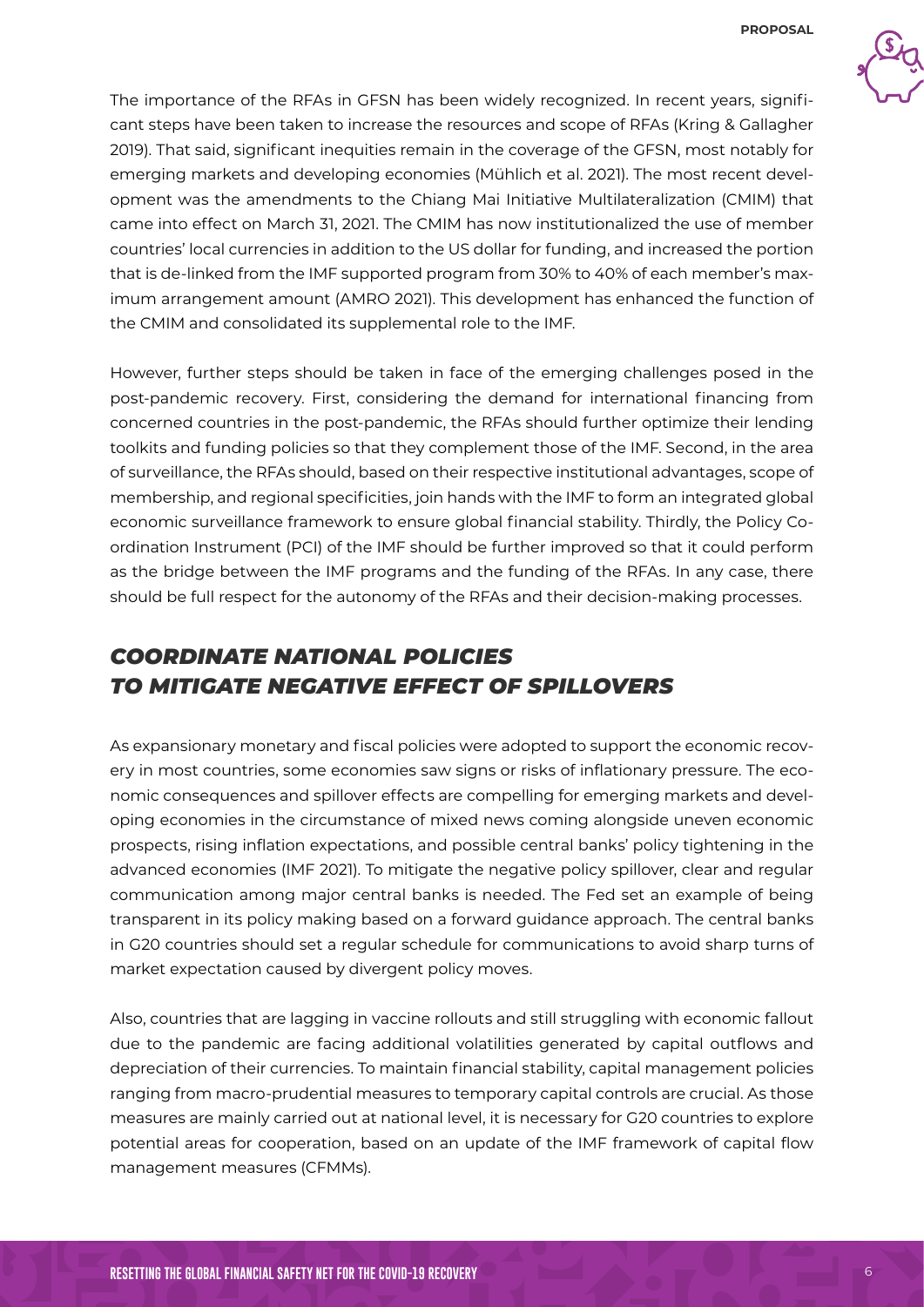

The importance of the RFAs in GFSN has been widely recognized. In recent years, significant steps have been taken to increase the resources and scope of RFAs (Kring & Gallagher 2019). That said, significant inequities remain in the coverage of the GFSN, most notably for emerging markets and developing economies (Mühlich et al. 2021). The most recent development was the amendments to the Chiang Mai Initiative Multilateralization (CMIM) that came into effect on March 31, 2021. The CMIM has now institutionalized the use of member countries' local currencies in addition to the US dollar for funding, and increased the portion that is de-linked from the IMF supported program from 30% to 40% of each member's maximum arrangement amount (AMRO 2021). This development has enhanced the function of the CMIM and consolidated its supplemental role to the IMF.

However, further steps should be taken in face of the emerging challenges posed in the post-pandemic recovery. First, considering the demand for international financing from concerned countries in the post-pandemic, the RFAs should further optimize their lending toolkits and funding policies so that they complement those of the IMF. Second, in the area of surveillance, the RFAs should, based on their respective institutional advantages, scope of membership, and regional specificities, join hands with the IMF to form an integrated global economic surveillance framework to ensure global financial stability. Thirdly, the Policy Coordination Instrument (PCI) of the IMF should be further improved so that it could perform as the bridge between the IMF programs and the funding of the RFAs. In any case, there should be full respect for the autonomy of the RFAs and their decision-making processes.

### *COORDINATE NATIONAL POLICIES TO MITIGATE NEGATIVE EFFECT OF SPILLOVERS*

As expansionary monetary and fiscal policies were adopted to support the economic recovery in most countries, some economies saw signs or risks of inflationary pressure. The economic consequences and spillover effects are compelling for emerging markets and developing economies in the circumstance of mixed news coming alongside uneven economic prospects, rising inflation expectations, and possible central banks' policy tightening in the advanced economies (IMF 2021). To mitigate the negative policy spillover, clear and regular communication among major central banks is needed. The Fed set an example of being transparent in its policy making based on a forward guidance approach. The central banks in G20 countries should set a regular schedule for communications to avoid sharp turns of market expectation caused by divergent policy moves.

Also, countries that are lagging in vaccine rollouts and still struggling with economic fallout due to the pandemic are facing additional volatilities generated by capital outflows and depreciation of their currencies. To maintain financial stability, capital management policies ranging from macro-prudential measures to temporary capital controls are crucial. As those measures are mainly carried out at national level, it is necessary for G20 countries to explore potential areas for cooperation, based on an update of the IMF framework of capital flow management measures (CFMMs).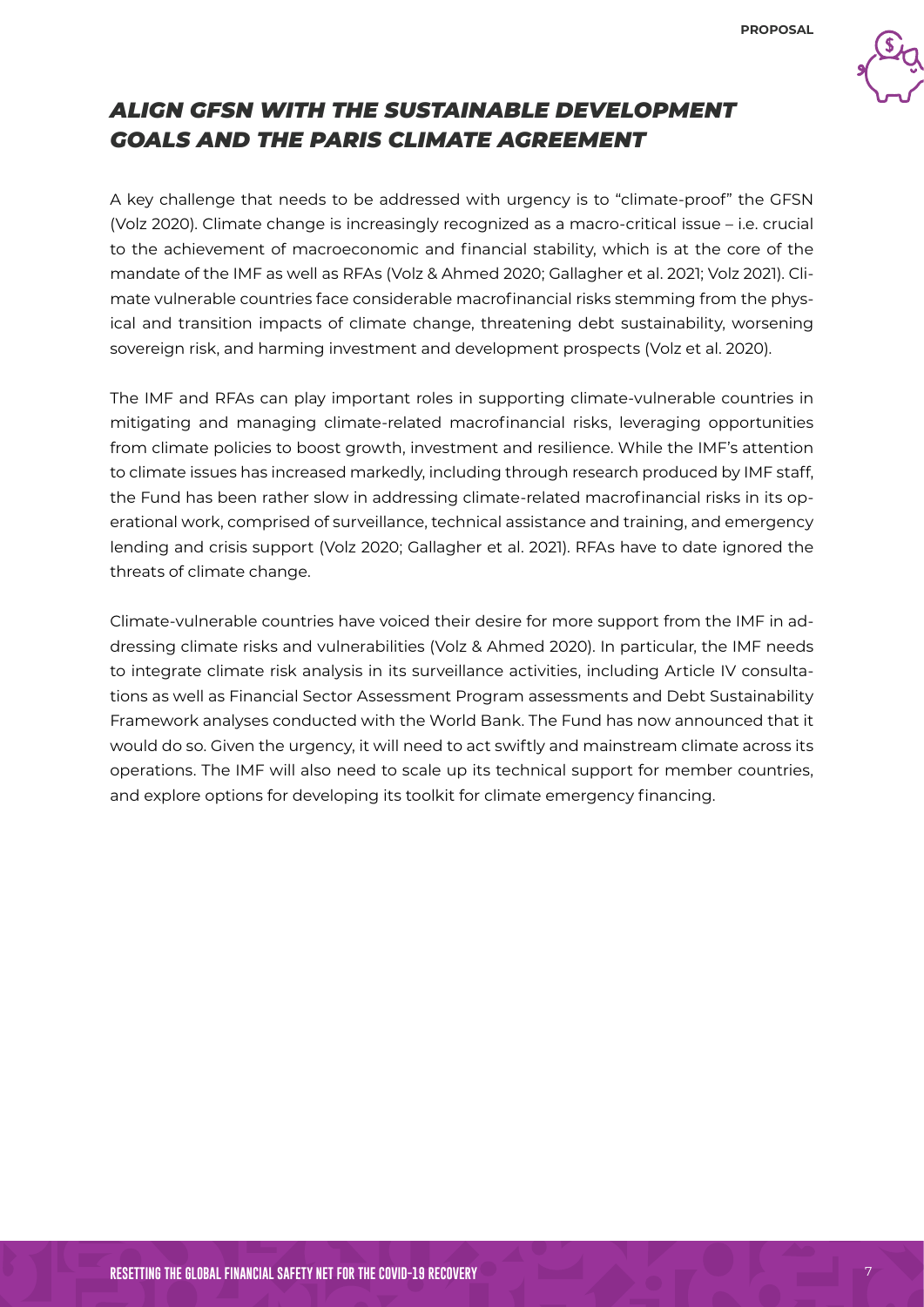

#### *ALIGN GFSN WITH THE SUSTAINABLE DEVELOPMENT GOALS AND THE PARIS CLIMATE AGREEMENT*

A key challenge that needs to be addressed with urgency is to "climate-proof" the GFSN (Volz 2020). Climate change is increasingly recognized as a macro-critical issue – i.e. crucial to the achievement of macroeconomic and financial stability, which is at the core of the mandate of the IMF as well as RFAs (Volz & Ahmed 2020; Gallagher et al. 2021; Volz 2021). Climate vulnerable countries face considerable macrofinancial risks stemming from the physical and transition impacts of climate change, threatening debt sustainability, worsening sovereign risk, and harming investment and development prospects (Volz et al. 2020).

The IMF and RFAs can play important roles in supporting climate-vulnerable countries in mitigating and managing climate-related macrofinancial risks, leveraging opportunities from climate policies to boost growth, investment and resilience. While the IMF's attention to climate issues has increased markedly, including through research produced by IMF staff, the Fund has been rather slow in addressing climate-related macrofinancial risks in its operational work, comprised of surveillance, technical assistance and training, and emergency lending and crisis support (Volz 2020; Gallagher et al. 2021). RFAs have to date ignored the threats of climate change.

Climate-vulnerable countries have voiced their desire for more support from the IMF in addressing climate risks and vulnerabilities (Volz & Ahmed 2020). In particular, the IMF needs to integrate climate risk analysis in its surveillance activities, including Article IV consultations as well as Financial Sector Assessment Program assessments and Debt Sustainability Framework analyses conducted with the World Bank. The Fund has now announced that it would do so. Given the urgency, it will need to act swiftly and mainstream climate across its operations. The IMF will also need to scale up its technical support for member countries, and explore options for developing its toolkit for climate emergency financing.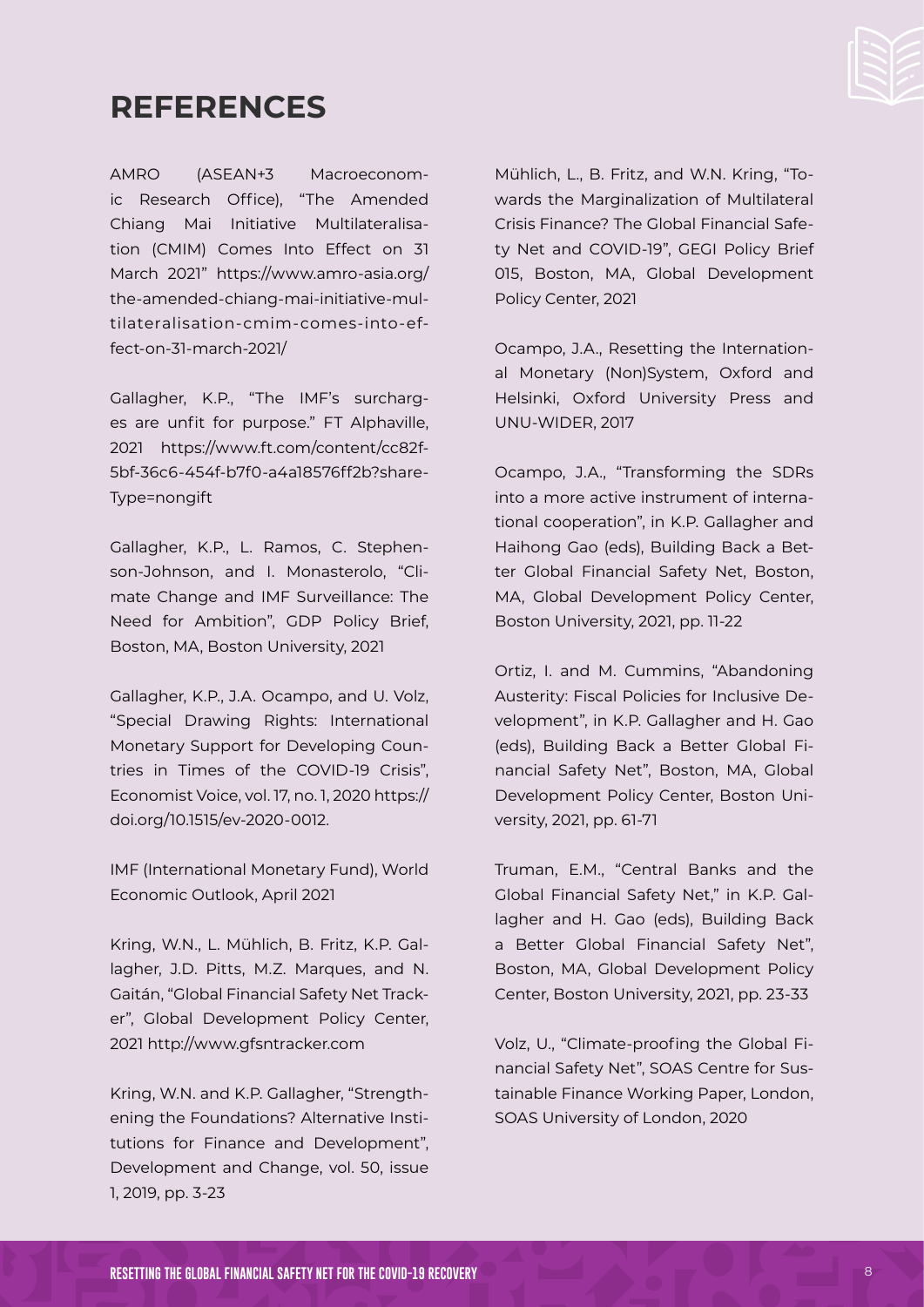# **REFERENCES**

AMRO (ASEAN+3 Macroeconomic Research Office), "The Amended Chiang Mai Initiative Multilateralisation (CMIM) Comes Into Effect on 31 March 2021" [https://www.amro-asia.org/](https://www.amro-asia.org/the-amended-chiang-mai-initiative-multilateralisation-cmim-comes-into-effect-on-31-march-2021/) [the-amended-chiang-mai-initiative-mul](https://www.amro-asia.org/the-amended-chiang-mai-initiative-multilateralisation-cmim-comes-into-effect-on-31-march-2021/)[tilateralisation-cmim-comes-into-ef](https://www.amro-asia.org/the-amended-chiang-mai-initiative-multilateralisation-cmim-comes-into-effect-on-31-march-2021/)[fect-on-31-march-2021/](https://www.amro-asia.org/the-amended-chiang-mai-initiative-multilateralisation-cmim-comes-into-effect-on-31-march-2021/)

Gallagher, K.P., "The IMF's surcharges are unfit for purpose." FT Alphaville, 2021 [https://www.ft.com/content/cc82f-](https://www.ft.com/content/cc82f5bf-36c6-454f-b7f0-a4a18576ff2b?shareType=nongift)[5bf-36c6-454f-b7f0-a4a18576ff2b?share-](https://www.ft.com/content/cc82f5bf-36c6-454f-b7f0-a4a18576ff2b?shareType=nongift)[Type=nongift](https://www.ft.com/content/cc82f5bf-36c6-454f-b7f0-a4a18576ff2b?shareType=nongift)

Gallagher, K.P., L. Ramos, C. Stephenson-Johnson, and I. Monasterolo, "Climate Change and IMF Surveillance: The Need for Ambition", GDP Policy Brief, Boston, MA, Boston University, 2021

Gallagher, K.P., J.A. Ocampo, and U. Volz, "Special Drawing Rights: International Monetary Support for Developing Countries in Times of the COVID-19 Crisis", Economist Voice, vol. 17, no. 1, 2020 [https://](https://doi.org/10.1515/ev-2020-0012) [doi.org/10.1515/ev-2020-0012](https://doi.org/10.1515/ev-2020-0012).

IMF (International Monetary Fund), World Economic Outlook, April 2021

Kring, W.N., L. Mühlich, B. Fritz, K.P. Gallagher, J.D. Pitts, M.Z. Marques, and N. Gaitán, "Global Financial Safety Net Tracker", Global Development Policy Center, 2021<http://www.gfsntracker.com>

Kring, W.N. and K.P. Gallagher, "Strengthening the Foundations? Alternative Institutions for Finance and Development", Development and Change, vol. 50, issue 1, 2019, pp. 3-23

Mühlich, L., B. Fritz, and W.N. Kring, "Towards the Marginalization of Multilateral Crisis Finance? The Global Financial Safety Net and COVID-19", GEGI Policy Brief 015, Boston, MA, Global Development Policy Center, 2021

Ocampo, J.A., Resetting the International Monetary (Non)System, Oxford and Helsinki, Oxford University Press and UNU-WIDER, 2017

Ocampo, J.A., "Transforming the SDRs into a more active instrument of international cooperation", in K.P. Gallagher and Haihong Gao (eds), Building Back a Better Global Financial Safety Net, Boston, MA, Global Development Policy Center, Boston University, 2021, pp. 11-22

Ortiz, I. and M. Cummins, "Abandoning Austerity: Fiscal Policies for Inclusive Development", in K.P. Gallagher and H. Gao (eds), Building Back a Better Global Financial Safety Net", Boston, MA, Global Development Policy Center, Boston University, 2021, pp. 61-71

Truman, E.M., "Central Banks and the Global Financial Safety Net," in K.P. Gallagher and H. Gao (eds), Building Back a Better Global Financial Safety Net", Boston, MA, Global Development Policy Center, Boston University, 2021, pp. 23-33

Volz, U., "Climate-proofing the Global Financial Safety Net", SOAS Centre for Sustainable Finance Working Paper, London, SOAS University of London, 2020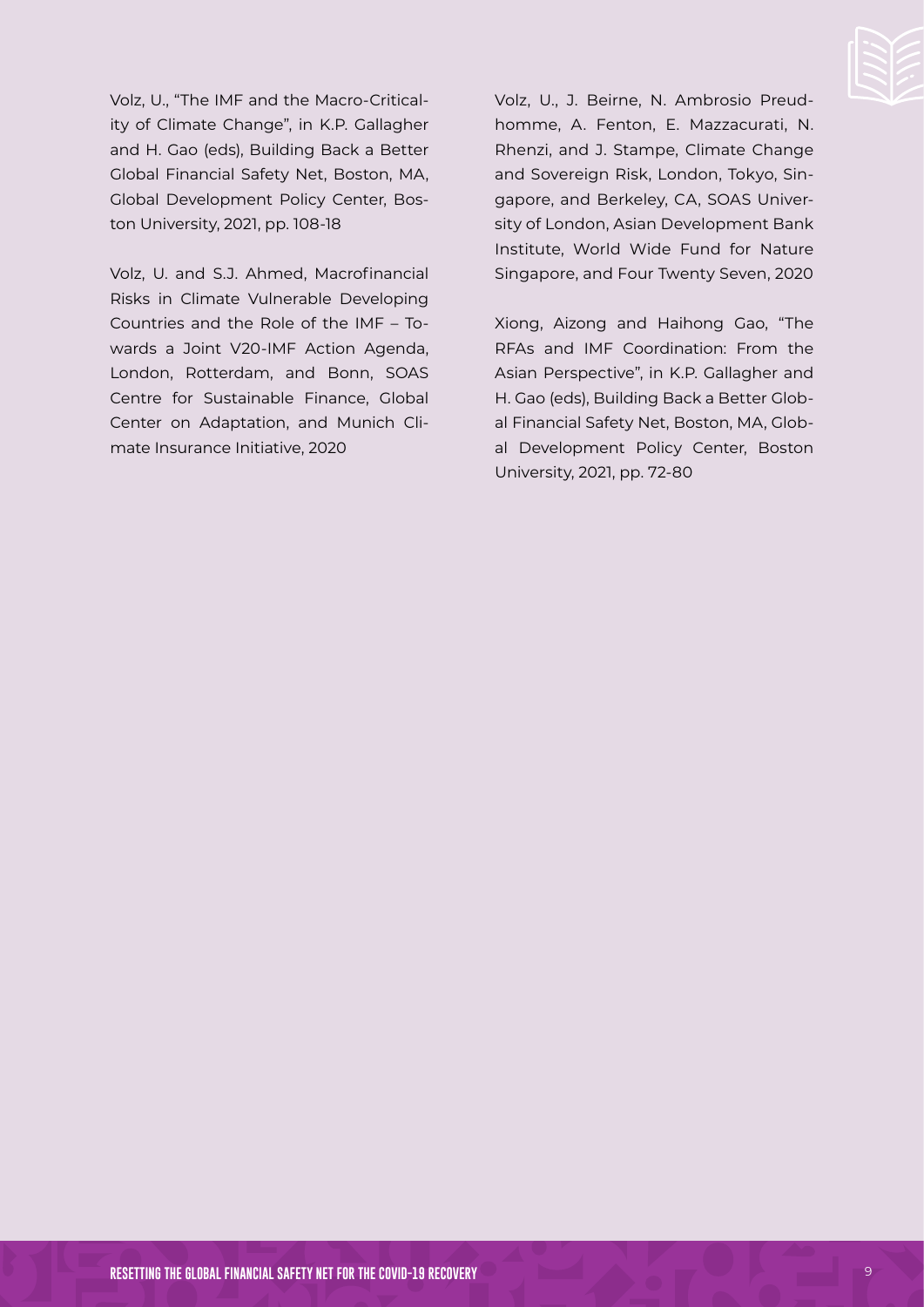

Volz, U., "The IMF and the Macro-Criticality of Climate Change", in K.P. Gallagher and H. Gao (eds), Building Back a Better Global Financial Safety Net, Boston, MA, Global Development Policy Center, Boston University, 2021, pp. 108-18

Volz, U. and S.J. Ahmed, Macrofinancial Risks in Climate Vulnerable Developing Countries and the Role of the IMF – Towards a Joint V20-IMF Action Agenda, London, Rotterdam, and Bonn, SOAS Centre for Sustainable Finance, Global Center on Adaptation, and Munich Climate Insurance Initiative, 2020

Volz, U., J. Beirne, N. Ambrosio Preudhomme, A. Fenton, E. Mazzacurati, N. Rhenzi, and J. Stampe, Climate Change and Sovereign Risk, London, Tokyo, Singapore, and Berkeley, CA, SOAS University of London, Asian Development Bank Institute, World Wide Fund for Nature Singapore, and Four Twenty Seven, 2020

Xiong, Aizong and Haihong Gao, "The RFAs and IMF Coordination: From the Asian Perspective", in K.P. Gallagher and H. Gao (eds), Building Back a Better Global Financial Safety Net, Boston, MA, Global Development Policy Center, Boston University, 2021, pp. 72-80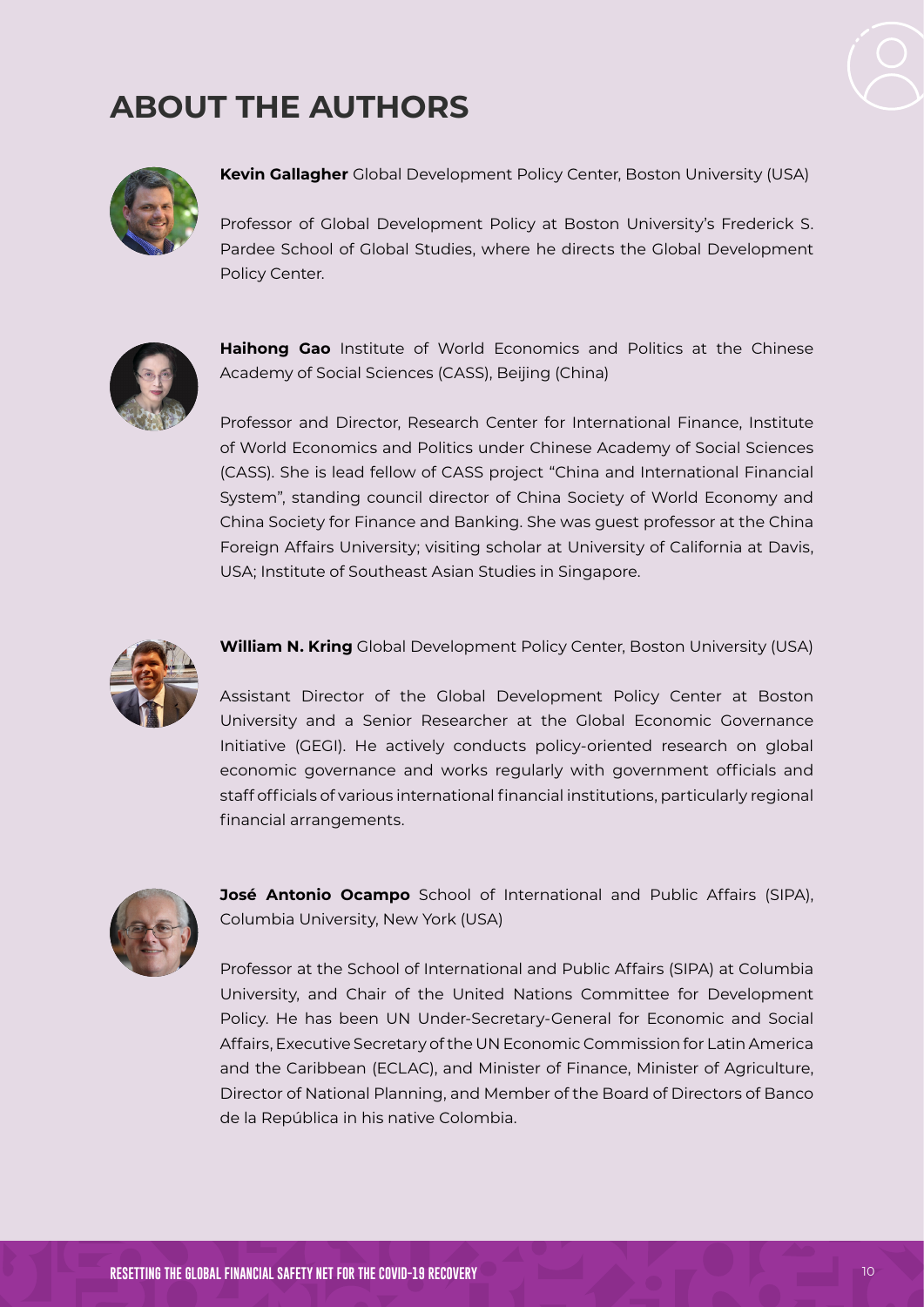

# **ABOUT THE AUTHORS**



**Kevin Gallagher** Global Development Policy Center, Boston University (USA)

Professor of Global Development Policy at Boston University's Frederick S. Pardee School of Global Studies, where he directs the Global Development Policy Center.



**Haihong Gao** Institute of World Economics and Politics at the Chinese Academy of Social Sciences (CASS), Beijing (China)

Professor and Director, Research Center for International Finance, Institute of World Economics and Politics under Chinese Academy of Social Sciences (CASS). She is lead fellow of CASS project "China and International Financial System", standing council director of China Society of World Economy and China Society for Finance and Banking. She was guest professor at the China Foreign Affairs University; visiting scholar at University of California at Davis, USA; Institute of Southeast Asian Studies in Singapore.



**William N. Kring** Global Development Policy Center, Boston University (USA)

Assistant Director of the Global Development Policy Center at Boston University and a Senior Researcher at the Global Economic Governance Initiative (GEGI). He actively conducts policy-oriented research on global economic governance and works regularly with government officials and staff officials of various international financial institutions, particularly regional financial arrangements.



**José Antonio Ocampo** School of International and Public Affairs (SIPA), Columbia University, New York (USA)

Professor at the School of International and Public Affairs (SIPA) at Columbia University, and Chair of the United Nations Committee for Development Policy. He has been UN Under-Secretary-General for Economic and Social Affairs, Executive Secretary of the UN Economic Commission for Latin America and the Caribbean (ECLAC), and Minister of Finance, Minister of Agriculture, Director of National Planning, and Member of the Board of Directors of Banco de la República in his native Colombia.